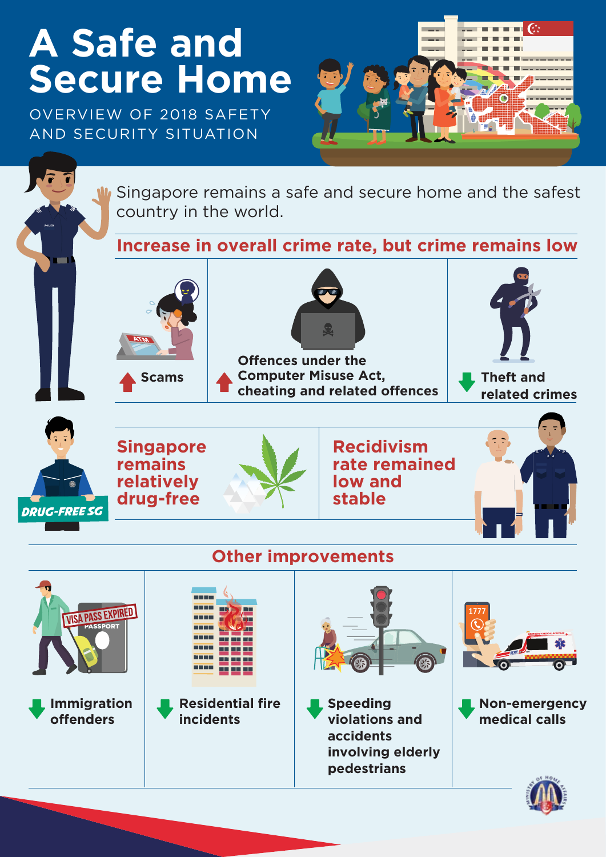# **A Safe and Secure Home**

OVERVIEW OF 2018 SAFETY AND SECURITY SITUATION



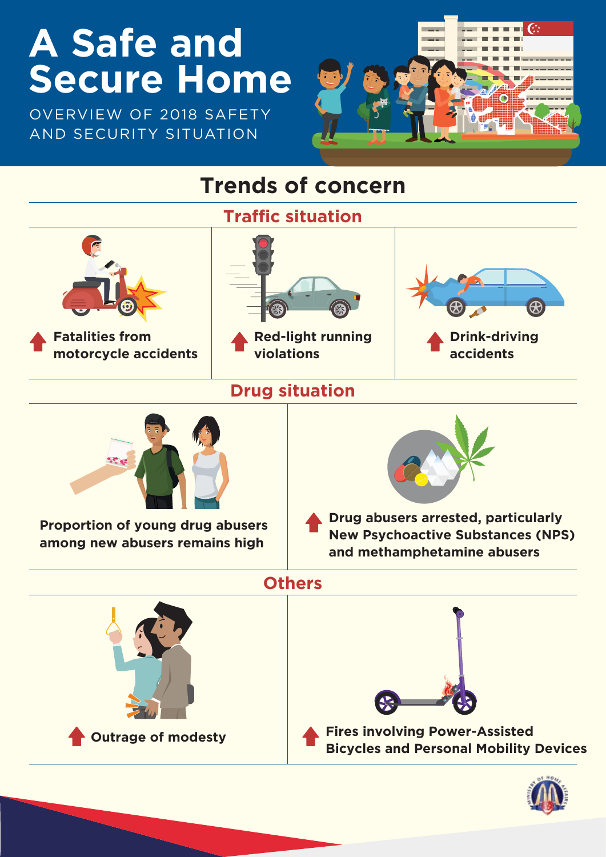# **A Safe and Secure Home**

OVERVIEW OF 2018 SAFETY AND SECURITY SITUATION



#### **Trends of concern**

**Traffic situation**